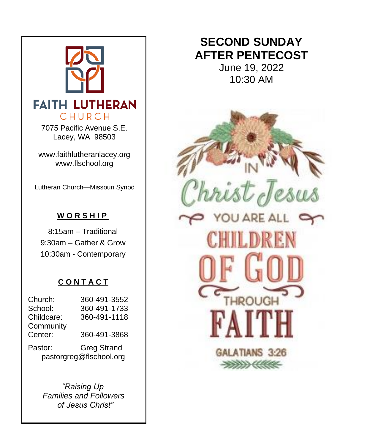

7075 Pacific Avenue S.E. Lacey, WA 98503

www.faithlutheranlacey.org www.flschool.org

Lutheran Church—Missouri Synod

### **W O R S H I P**

8:15am – Traditional 9:30am – Gather & Grow 10:30am - Contemporary

### **C O N T A C T**

| Church:    | 360-491-3552 |
|------------|--------------|
| School:    | 360-491-1733 |
| Childcare: | 360-491-1118 |
| Community  |              |
| Center:    | 360-491-3868 |
|            |              |

Pastor: **Greg Strand** pastorgreg@flschool.org

> *"Raising Up Families and Followers of Jesus Christ"*

# **SECOND SUNDAY AFTER PENTECOST**

June 19, 2022 10:30 AM



**GALATIANS 3:26**  $\rightarrow$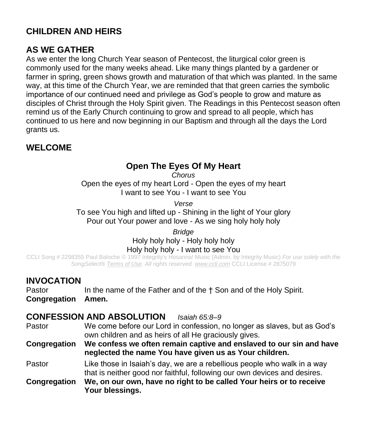# **CHILDREN AND HEIRS**

# **AS WE GATHER**

As we enter the long Church Year season of Pentecost, the liturgical color green is commonly used for the many weeks ahead. Like many things planted by a gardener or farmer in spring, green shows growth and maturation of that which was planted. In the same way, at this time of the Church Year, we are reminded that that green carries the symbolic importance of our continued need and privilege as God's people to grow and mature as disciples of Christ through the Holy Spirit given. The Readings in this Pentecost season often remind us of the Early Church continuing to grow and spread to all people, which has continued to us here and now beginning in our Baptism and through all the days the Lord grants us.

# **WELCOME**

# **Open The Eyes Of My Heart**

*Chorus*

Open the eyes of my heart Lord - Open the eyes of my heart I want to see You - I want to see You

*Verse*

To see You high and lifted up - Shining in the light of Your glory Pour out Your power and love - As we sing holy holy holy

> *Bridge* Holy holy holy - Holy holy holy Holy holy holy - I want to see You

CCLI Song # 2298355 Paul Baloche © 1997 Integrity's Hosanna! Music (Admin. by Integrity Music) *For use solely with the SongSelect® [Terms of Use.](https://songselect.ccli.com/about/termsofuse) All rights reserved. [www.ccli.com](http://www.ccli.com/)* CCLI License # 2875079

### **INVOCATION**

Pastor In the name of the Father and of the † Son and of the Holy Spirit. **Congregation Amen.**

### **CONFESSION AND ABSOLUTION** *Isaiah 65:8–9*

- Pastor We come before our Lord in confession, no longer as slaves, but as God's own children and as heirs of all He graciously gives.
- **Congregation We confess we often remain captive and enslaved to our sin and have neglected the name You have given us as Your children.**
- Pastor **Like those in Isaiah's day, we are a rebellious people who walk in a way** that is neither good nor faithful, following our own devices and desires.

**Congregation We, on our own, have no right to be called Your heirs or to receive Your blessings.**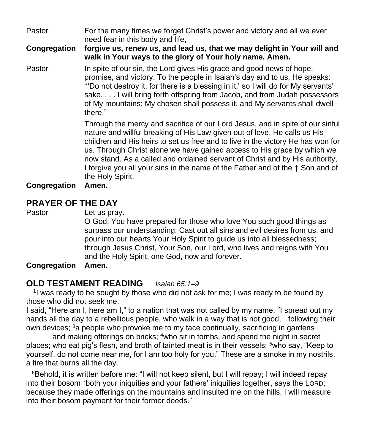Pastor For the many times we forget Christ's power and victory and all we ever need fear in this body and life,

**Congregation forgive us, renew us, and lead us, that we may delight in Your will and walk in Your ways to the glory of Your holy name. Amen.**

Pastor In spite of our sin, the Lord gives His grace and good news of hope, promise, and victory. To the people in Isaiah's day and to us, He speaks: " 'Do not destroy it, for there is a blessing in it,' so I will do for My servants' sake. . . . I will bring forth offspring from Jacob, and from Judah possessors of My mountains; My chosen shall possess it, and My servants shall dwell there."

> Through the mercy and sacrifice of our Lord Jesus, and in spite of our sinful nature and willful breaking of His Law given out of love, He calls us His children and His heirs to set us free and to live in the victory He has won for us. Through Christ alone we have gained access to His grace by which we now stand. As a called and ordained servant of Christ and by His authority, I forgive you all your sins in the name of the Father and of the † Son and of the Holy Spirit.

**Congregation Amen.**

### **PRAYER OF THE DAY**

Pastor Let us pray.

O God, You have prepared for those who love You such good things as surpass our understanding. Cast out all sins and evil desires from us, and pour into our hearts Your Holy Spirit to guide us into all blessedness; through Jesus Christ, Your Son, our Lord, who lives and reigns with You and the Holy Spirit, one God, now and forever.

**Congregation Amen.**

### **OLD TESTAMENT READING** *Isaiah 65:1–9*

<sup>1</sup> was ready to be sought by those who did not ask for me; I was ready to be found by those who did not seek me.

I said, "Here am I, here am I," to a nation that was not called by my name. <sup>2</sup>I spread out my hands all the day to a rebellious people, who walk in a way that is not good, following their own devices; <sup>3</sup>a people who provoke me to my face continually, sacrificing in gardens

and making offerings on bricks; <sup>4</sup>who sit in tombs, and spend the night in secret places; who eat pig's flesh, and broth of tainted meat is in their vessels; <sup>5</sup>who say, "Keep to yourself, do not come near me, for I am too holy for you." These are a smoke in my nostrils, a fire that burns all the day.

<sup>6</sup>Behold, it is written before me: "I will not keep silent, but I will repay; I will indeed repay into their bosom <sup>7</sup>both your iniquities and your fathers' iniquities together, says the LORD; because they made offerings on the mountains and insulted me on the hills, I will measure into their bosom payment for their former deeds."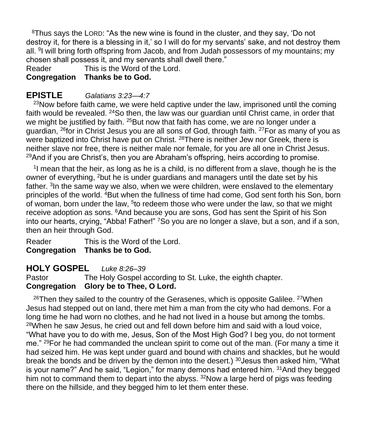$8$ Thus says the LORD: "As the new wine is found in the cluster, and they say, 'Do not destroy it, for there is a blessing in it,' so I will do for my servants' sake, and not destroy them all. <sup>9</sup>I will bring forth offspring from Jacob, and from Judah possessors of my mountains; my chosen shall possess it, and my servants shall dwell there."

Reader This is the Word of the Lord.

**Congregation Thanks be to God.**

# **EPISTLE** *Galatians 3:23—4:7*

 $23$ Now before faith came, we were held captive under the law, imprisoned until the coming faith would be revealed. <sup>24</sup>So then, the law was our quardian until Christ came, in order that we might be justified by faith.  $25$ But now that faith has come, we are no longer under a guardian,  $^{26}$ for in Christ Jesus you are all sons of God, through faith.  $^{27}$ For as many of you as were baptized into Christ have put on Christ. <sup>28</sup>There is neither Jew nor Greek, there is neither slave nor free, there is neither male nor female, for you are all one in Christ Jesus.  $29$ And if you are Christ's, then you are Abraham's offspring, heirs according to promise.

<sup>1</sup> mean that the heir, as long as he is a child, is no different from a slave, though he is the owner of everything, <sup>2</sup>but he is under guardians and managers until the date set by his father. <sup>3</sup>In the same way we also, when we were children, were enslaved to the elementary principles of the world. <sup>4</sup>But when the fullness of time had come, God sent forth his Son, born of woman, born under the law, <sup>5</sup>to redeem those who were under the law, so that we might receive adoption as sons. <sup>6</sup>And because you are sons, God has sent the Spirit of his Son into our hearts, crying, "Abba! Father!" <sup>7</sup>So you are no longer a slave, but a son, and if a son, then an heir through God.

Reader This is the Word of the Lord. **Congregation Thanks be to God.**

#### **HOLY GOSPEL** *Luke 8:26–39*

Pastor The Holy Gospel according to St. Luke, the eighth chapter. **Congregation Glory be to Thee, O Lord.**

 $26$ Then they sailed to the country of the Gerasenes, which is opposite Galilee.  $27$ When Jesus had stepped out on land, there met him a man from the city who had demons. For a long time he had worn no clothes, and he had not lived in a house but among the tombs. <sup>28</sup>When he saw Jesus, he cried out and fell down before him and said with a loud voice, "What have you to do with me, Jesus, Son of the Most High God? I beg you, do not torment me." <sup>29</sup>For he had commanded the unclean spirit to come out of the man. (For many a time it had seized him. He was kept under guard and bound with chains and shackles, but he would break the bonds and be driven by the demon into the desert.)  $30$  Jesus then asked him, "What is your name?" And he said, "Legion," for many demons had entered him. <sup>31</sup>And they begged him not to command them to depart into the abyss. <sup>32</sup>Now a large herd of pigs was feeding there on the hillside, and they begged him to let them enter these.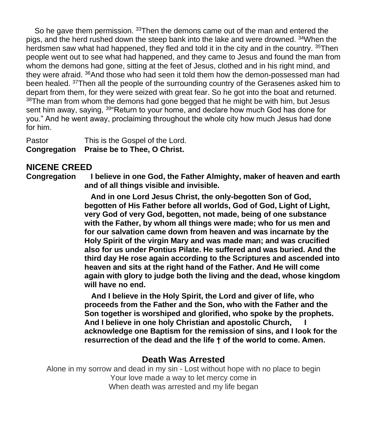So he gave them permission.  $33$ Then the demons came out of the man and entered the pigs, and the herd rushed down the steep bank into the lake and were drowned. 34When the herdsmen saw what had happened, they fled and told it in the city and in the country.  $35$ Then people went out to see what had happened, and they came to Jesus and found the man from whom the demons had gone, sitting at the feet of Jesus, clothed and in his right mind, and they were afraid. <sup>36</sup>And those who had seen it told them how the demon-possessed man had been healed. <sup>37</sup>Then all the people of the surrounding country of the Gerasenes asked him to depart from them, for they were seized with great fear. So he got into the boat and returned. <sup>38</sup>The man from whom the demons had gone begged that he might be with him, but Jesus sent him away, saying, <sup>39</sup> Return to your home, and declare how much God has done for you." And he went away, proclaiming throughout the whole city how much Jesus had done for him.

Pastor This is the Gospel of the Lord. **Congregation Praise be to Thee, O Christ.**

# **NICENE CREED**

**Congregation I believe in one God, the Father Almighty, maker of heaven and earth and of all things visible and invisible.**

> **And in one Lord Jesus Christ, the only-begotten Son of God, begotten of His Father before all worlds, God of God, Light of Light, very God of very God, begotten, not made, being of one substance with the Father, by whom all things were made; who for us men and for our salvation came down from heaven and was incarnate by the Holy Spirit of the virgin Mary and was made man; and was crucified also for us under Pontius Pilate. He suffered and was buried. And the third day He rose again according to the Scriptures and ascended into heaven and sits at the right hand of the Father. And He will come again with glory to judge both the living and the dead, whose kingdom will have no end.**

> **And I believe in the Holy Spirit, the Lord and giver of life, who proceeds from the Father and the Son, who with the Father and the Son together is worshiped and glorified, who spoke by the prophets.**  And I believe in one holy Christian and apostolic Church, **acknowledge one Baptism for the remission of sins, and I look for the resurrection of the dead and the life † of the world to come. Amen.**

#### **Death Was Arrested**

Alone in my sorrow and dead in my sin - Lost without hope with no place to begin Your love made a way to let mercy come in When death was arrested and my life began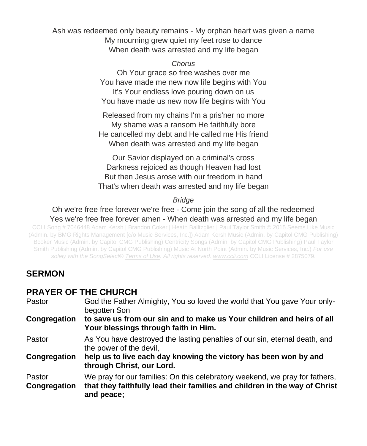Ash was redeemed only beauty remains - My orphan heart was given a name My mourning grew quiet my feet rose to dance When death was arrested and my life began

#### *Chorus*

Oh Your grace so free washes over me You have made me new now life begins with You It's Your endless love pouring down on us You have made us new now life begins with You

Released from my chains I'm a pris'ner no more My shame was a ransom He faithfully bore He cancelled my debt and He called me His friend When death was arrested and my life began

Our Savior displayed on a criminal's cross Darkness rejoiced as though Heaven had lost But then Jesus arose with our freedom in hand That's when death was arrested and my life began

#### *Bridge*

#### Oh we're free free forever we're free - Come join the song of all the redeemed Yes we're free free forever amen - When death was arrested and my life began

CCLI Song # 7046448 Adam Kersh | Brandon Coker | Heath Balltzglier | Paul Taylor Smith © 2015 Seems Like Music (Admin. by BMG Rights Management [c/o Music Services, Inc.]) Adam Kersh Music (Admin. by Capitol CMG Publishing) Bcoker Music (Admin. by Capitol CMG Publishing) Centricity Songs (Admin. by Capitol CMG Publishing) Paul Taylor Smith Publishing (Admin. by Capitol CMG Publishing) Music At North Point (Admin. by Music Services, Inc.) *For use solely with the SongSelect® [Terms of Use.](https://songselect.ccli.com/about/termsofuse) All rights reserved. [www.ccli.com](http://www.ccli.com/)* CCLI License # 2875079.

### **SERMON**

#### **PRAYER OF THE CHURCH**

| Pastor<br>Congregation | God the Father Almighty, You so loved the world that You gave Your only-<br>begotten Son<br>to save us from our sin and to make us Your children and heirs of all<br>Your blessings through faith in Him. |
|------------------------|-----------------------------------------------------------------------------------------------------------------------------------------------------------------------------------------------------------|
| Pastor                 | As You have destroyed the lasting penalties of our sin, eternal death, and                                                                                                                                |
|                        | the power of the devil,                                                                                                                                                                                   |
| Congregation           | help us to live each day knowing the victory has been won by and<br>through Christ, our Lord.                                                                                                             |
| Pastor                 | We pray for our families: On this celebratory weekend, we pray for fathers,                                                                                                                               |
| Congregation           | that they faithfully lead their families and children in the way of Christ<br>and peace;                                                                                                                  |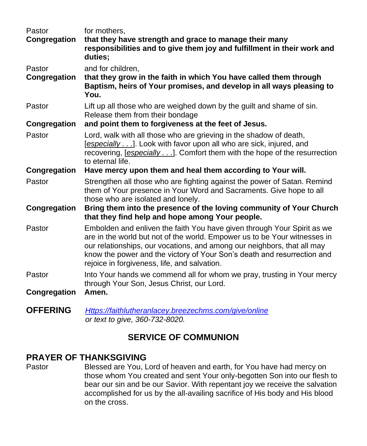| Pastor<br>Congregation | for mothers,<br>that they have strength and grace to manage their many<br>responsibilities and to give them joy and fulfillment in their work and<br>duties;                                                                                                                                                                                               |
|------------------------|------------------------------------------------------------------------------------------------------------------------------------------------------------------------------------------------------------------------------------------------------------------------------------------------------------------------------------------------------------|
| Pastor<br>Congregation | and for children,<br>that they grow in the faith in which You have called them through<br>Baptism, heirs of Your promises, and develop in all ways pleasing to<br>You.                                                                                                                                                                                     |
| Pastor                 | Lift up all those who are weighed down by the guilt and shame of sin.<br>Release them from their bondage                                                                                                                                                                                                                                                   |
| Congregation           | and point them to forgiveness at the feet of Jesus.                                                                                                                                                                                                                                                                                                        |
| Pastor                 | Lord, walk with all those who are grieving in the shadow of death,<br>[especially]. Look with favor upon all who are sick, injured, and<br>recovering, [especially]. Comfort them with the hope of the resurrection<br>to eternal life.                                                                                                                    |
| Congregation           | Have mercy upon them and heal them according to Your will.                                                                                                                                                                                                                                                                                                 |
| Pastor                 | Strengthen all those who are fighting against the power of Satan. Remind<br>them of Your presence in Your Word and Sacraments. Give hope to all<br>those who are isolated and lonely.                                                                                                                                                                      |
| Congregation           | Bring them into the presence of the loving community of Your Church<br>that they find help and hope among Your people.                                                                                                                                                                                                                                     |
| Pastor                 | Embolden and enliven the faith You have given through Your Spirit as we<br>are in the world but not of the world. Empower us to be Your witnesses in<br>our relationships, our vocations, and among our neighbors, that all may<br>know the power and the victory of Your Son's death and resurrection and<br>rejoice in forgiveness, life, and salvation. |
| Pastor                 | Into Your hands we commend all for whom we pray, trusting in Your mercy<br>through Your Son, Jesus Christ, our Lord.                                                                                                                                                                                                                                       |
| Congregation           | Amen.                                                                                                                                                                                                                                                                                                                                                      |
|                        |                                                                                                                                                                                                                                                                                                                                                            |

**OFFERING** *[Https://faithlutheranlacey.breezechms.com/give/online](https://faithlutheranlacey.breezechms.com/give/online) or text to give, 360-732-8020.*

# **SERVICE OF COMMUNION**

#### **PRAYER OF THANKSGIVING**

Pastor Blessed are You, Lord of heaven and earth, for You have had mercy on those whom You created and sent Your only-begotten Son into our flesh to bear our sin and be our Savior. With repentant joy we receive the salvation accomplished for us by the all-availing sacrifice of His body and His blood on the cross.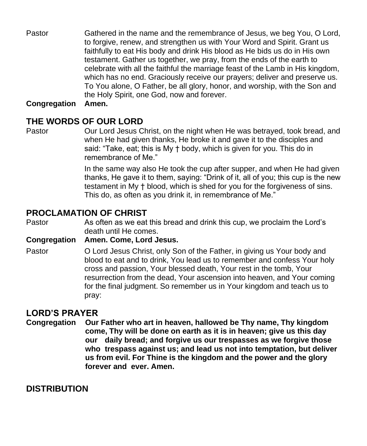Pastor Gathered in the name and the remembrance of Jesus, we beg You, O Lord, to forgive, renew, and strengthen us with Your Word and Spirit. Grant us faithfully to eat His body and drink His blood as He bids us do in His own testament. Gather us together, we pray, from the ends of the earth to celebrate with all the faithful the marriage feast of the Lamb in His kingdom, which has no end. Graciously receive our prayers; deliver and preserve us. To You alone, O Father, be all glory, honor, and worship, with the Son and the Holy Spirit, one God, now and forever.

**Congregation Amen.**

# **THE WORDS OF OUR LORD**

Pastor Our Lord Jesus Christ, on the night when He was betrayed, took bread, and when He had given thanks, He broke it and gave it to the disciples and said: "Take, eat; this is My † body, which is given for you. This do in remembrance of Me."

> In the same way also He took the cup after supper, and when He had given thanks, He gave it to them, saying: "Drink of it, all of you; this cup is the new testament in My † blood, which is shed for you for the forgiveness of sins. This do, as often as you drink it, in remembrance of Me."

### **PROCLAMATION OF CHRIST**

Pastor **As often as we eat this bread and drink this cup, we proclaim the Lord's** death until He comes.

**Congregation Amen. Come, Lord Jesus.**

Pastor O Lord Jesus Christ, only Son of the Father, in giving us Your body and blood to eat and to drink, You lead us to remember and confess Your holy cross and passion, Your blessed death, Your rest in the tomb, Your resurrection from the dead, Your ascension into heaven, and Your coming for the final judgment. So remember us in Your kingdom and teach us to pray:

# **LORD'S PRAYER**

**Congregation Our Father who art in heaven, hallowed be Thy name, Thy kingdom come, Thy will be done on earth as it is in heaven; give us this day our daily bread; and forgive us our trespasses as we forgive those who trespass against us; and lead us not into temptation, but deliver us from evil. For Thine is the kingdom and the power and the glory forever and ever. Amen.**

### **DISTRIBUTION**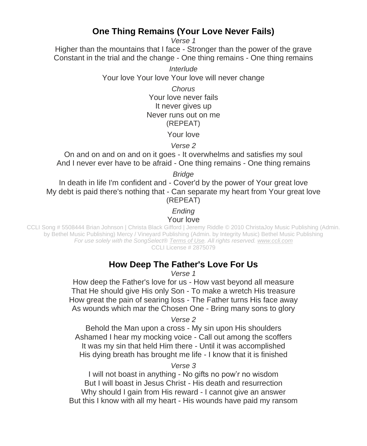#### **One Thing Remains (Your Love Never Fails)**

*Verse 1*

Higher than the mountains that I face - Stronger than the power of the grave Constant in the trial and the change - One thing remains - One thing remains

> *Interlude* Your love Your love Your love will never change

> > *Chorus* Your love never fails It never gives up Never runs out on me (REPEAT)

> > > Your love

*Verse 2*

On and on and on and on it goes - It overwhelms and satisfies my soul And I never ever have to be afraid - One thing remains - One thing remains

*Bridge*

In death in life I'm confident and - Cover'd by the power of Your great love My debt is paid there's nothing that - Can separate my heart from Your great love (REPEAT)

*Ending*

#### Your love

CCLI Song # 5508444 Brian Johnson | Christa Black Gifford | Jeremy Riddle © 2010 ChristaJoy Music Publishing (Admin. by Bethel Music Publishing) Mercy / Vineyard Publishing (Admin. by Integrity Music) Bethel Music Publishing *For use solely with the SongSelect® [Terms of Use.](https://songselect.ccli.com/about/termsofuse) All rights reserved. [www.ccli.com](http://www.ccli.com/)* CCLI License # 2875079

#### **How Deep The Father's Love For Us**

*Verse 1*

How deep the Father's love for us - How vast beyond all measure That He should give His only Son - To make a wretch His treasure How great the pain of searing loss - The Father turns His face away As wounds which mar the Chosen One - Bring many sons to glory

*Verse 2*

Behold the Man upon a cross - My sin upon His shoulders Ashamed I hear my mocking voice - Call out among the scoffers It was my sin that held Him there - Until it was accomplished His dying breath has brought me life - I know that it is finished

*Verse 3*

I will not boast in anything - No gifts no pow'r no wisdom But I will boast in Jesus Christ - His death and resurrection Why should I gain from His reward - I cannot give an answer But this I know with all my heart - His wounds have paid my ransom